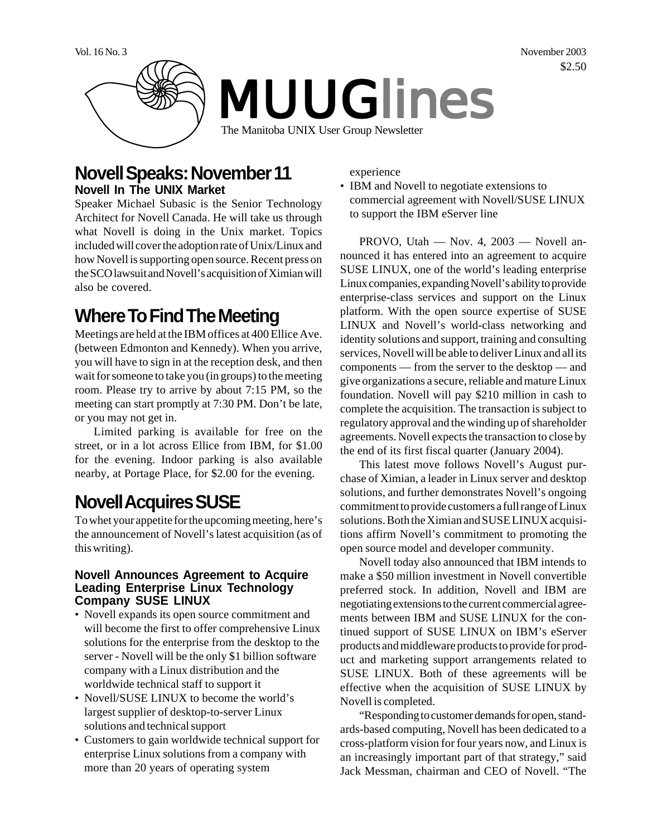

### **Novell Speaks: November 11 Novell In The UNIX Market**

Speaker Michael Subasic is the Senior Technology Architect for Novell Canada. He will take us through what Novell is doing in the Unix market. Topics included will cover the adoption rate of Unix/Linux and how Novell is supporting open source. Recent press on the SCO lawsuit and Novell's acquisition of Ximian will also be covered.

# **Where To Find The Meeting**

Meetings are held at the IBM offices at 400 Ellice Ave. (between Edmonton and Kennedy). When you arrive, you will have to sign in at the reception desk, and then wait for someone to take you (in groups) to the meeting room. Please try to arrive by about 7:15 PM, so the meeting can start promptly at 7:30 PM. Don't be late, or you may not get in.

Limited parking is available for free on the street, or in a lot across Ellice from IBM, for \$1.00 for the evening. Indoor parking is also available nearby, at Portage Place, for \$2.00 for the evening.

## **Novell Acquires SUSE**

To whet your appetite for the upcoming meeting, here's the announcement of Novell's latest acquisition (as of this writing).

#### **Novell Announces Agreement to Acquire Leading Enterprise Linux Technology Company SUSE LINUX**

- Novell expands its open source commitment and will become the first to offer comprehensive Linux solutions for the enterprise from the desktop to the server - Novell will be the only \$1 billion software company with a Linux distribution and the worldwide technical staff to support it
- Novell/SUSE LINUX to become the world's largest supplier of desktop-to-server Linux solutions and technical support
- Customers to gain worldwide technical support for enterprise Linux solutions from a company with more than 20 years of operating system

experience

• IBM and Novell to negotiate extensions to commercial agreement with Novell/SUSE LINUX to support the IBM eServer line

PROVO, Utah — Nov. 4, 2003 — Novell announced it has entered into an agreement to acquire SUSE LINUX, one of the world's leading enterprise Linux companies, expanding Novell's ability to provide enterprise-class services and support on the Linux platform. With the open source expertise of SUSE LINUX and Novell's world-class networking and identity solutions and support, training and consulting services, Novell will be able to deliver Linux and all its components — from the server to the desktop — and give organizations a secure, reliable and mature Linux foundation. Novell will pay \$210 million in cash to complete the acquisition. The transaction is subject to regulatory approval and the winding up of shareholder agreements. Novell expects the transaction to close by the end of its first fiscal quarter (January 2004).

This latest move follows Novell's August purchase of Ximian, a leader in Linux server and desktop solutions, and further demonstrates Novell's ongoing commitment to provide customers a full range of Linux solutions. Both the Ximian and SUSE LINUX acquisitions affirm Novell's commitment to promoting the open source model and developer community.

Novell today also announced that IBM intends to make a \$50 million investment in Novell convertible preferred stock. In addition, Novell and IBM are negotiating extensions to the current commercial agreements between IBM and SUSE LINUX for the continued support of SUSE LINUX on IBM's eServer products and middleware products to provide for product and marketing support arrangements related to SUSE LINUX. Both of these agreements will be effective when the acquisition of SUSE LINUX by Novell is completed.

"Responding to customer demands for open, standards-based computing, Novell has been dedicated to a cross-platform vision for four years now, and Linux is an increasingly important part of that strategy," said Jack Messman, chairman and CEO of Novell. "The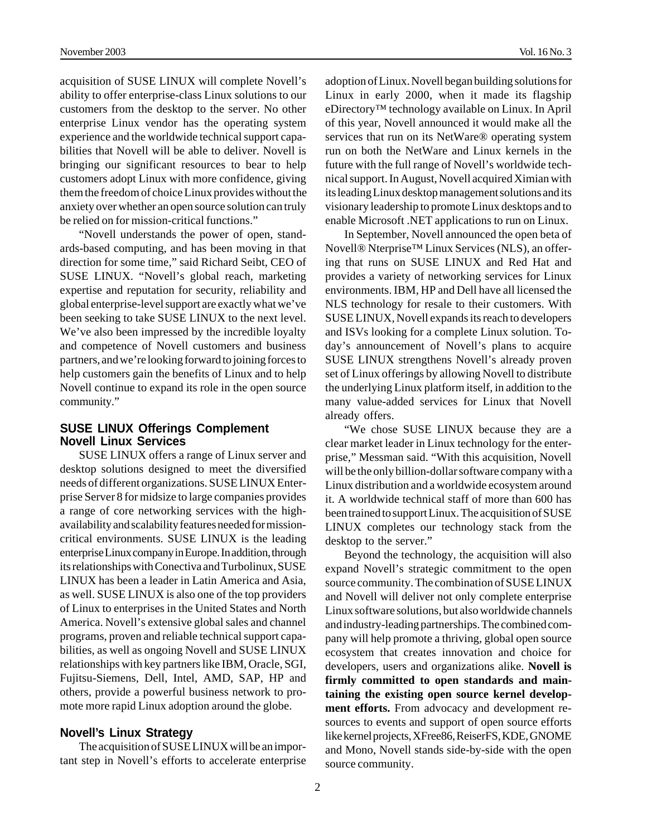acquisition of SUSE LINUX will complete Novell's ability to offer enterprise-class Linux solutions to our customers from the desktop to the server. No other enterprise Linux vendor has the operating system experience and the worldwide technical support capabilities that Novell will be able to deliver. Novell is bringing our significant resources to bear to help customers adopt Linux with more confidence, giving them the freedom of choice Linux provides without the anxiety over whether an open source solution can truly be relied on for mission-critical functions."

"Novell understands the power of open, standards-based computing, and has been moving in that direction for some time," said Richard Seibt, CEO of SUSE LINUX. "Novell's global reach, marketing expertise and reputation for security, reliability and global enterprise-level support are exactly what we've been seeking to take SUSE LINUX to the next level. We've also been impressed by the incredible loyalty and competence of Novell customers and business partners, and we're looking forward to joining forces to help customers gain the benefits of Linux and to help Novell continue to expand its role in the open source community."

#### **SUSE LINUX Offerings Complement Novell Linux Services**

SUSE LINUX offers a range of Linux server and desktop solutions designed to meet the diversified needs of different organizations. SUSE LINUX Enterprise Server 8 for midsize to large companies provides a range of core networking services with the highavailability and scalability features needed for missioncritical environments. SUSE LINUX is the leading enterprise Linux company in Europe. In addition, through its relationships with Conectiva and Turbolinux, SUSE LINUX has been a leader in Latin America and Asia, as well. SUSE LINUX is also one of the top providers of Linux to enterprises in the United States and North America. Novell's extensive global sales and channel programs, proven and reliable technical support capabilities, as well as ongoing Novell and SUSE LINUX relationships with key partners like IBM, Oracle, SGI, Fujitsu-Siemens, Dell, Intel, AMD, SAP, HP and others, provide a powerful business network to promote more rapid Linux adoption around the globe.

#### **Novell's Linux Strategy**

The acquisition of SUSE LINUX will be an important step in Novell's efforts to accelerate enterprise

adoption of Linux. Novell began building solutions for Linux in early 2000, when it made its flagship eDirectory™ technology available on Linux. In April of this year, Novell announced it would make all the services that run on its NetWare® operating system run on both the NetWare and Linux kernels in the future with the full range of Novell's worldwide technical support. In August, Novell acquired Ximian with its leading Linux desktop management solutions and its visionary leadership to promote Linux desktops and to enable Microsoft .NET applications to run on Linux.

In September, Novell announced the open beta of Novell® Nterprise™ Linux Services (NLS), an offering that runs on SUSE LINUX and Red Hat and provides a variety of networking services for Linux environments. IBM, HP and Dell have all licensed the NLS technology for resale to their customers. With SUSE LINUX, Novell expands its reach to developers and ISVs looking for a complete Linux solution. Today's announcement of Novell's plans to acquire SUSE LINUX strengthens Novell's already proven set of Linux offerings by allowing Novell to distribute the underlying Linux platform itself, in addition to the many value-added services for Linux that Novell already offers.

"We chose SUSE LINUX because they are a clear market leader in Linux technology for the enterprise," Messman said. "With this acquisition, Novell will be the only billion-dollar software company with a Linux distribution and a worldwide ecosystem around it. A worldwide technical staff of more than 600 has been trained to support Linux. The acquisition of SUSE LINUX completes our technology stack from the desktop to the server."

Beyond the technology, the acquisition will also expand Novell's strategic commitment to the open source community. The combination of SUSE LINUX and Novell will deliver not only complete enterprise Linux software solutions, but also worldwide channels and industry-leading partnerships. The combined company will help promote a thriving, global open source ecosystem that creates innovation and choice for developers, users and organizations alike. **Novell is firmly committed to open standards and maintaining the existing open source kernel development efforts.** From advocacy and development resources to events and support of open source efforts like kernel projects, XFree86, ReiserFS, KDE, GNOME and Mono, Novell stands side-by-side with the open source community.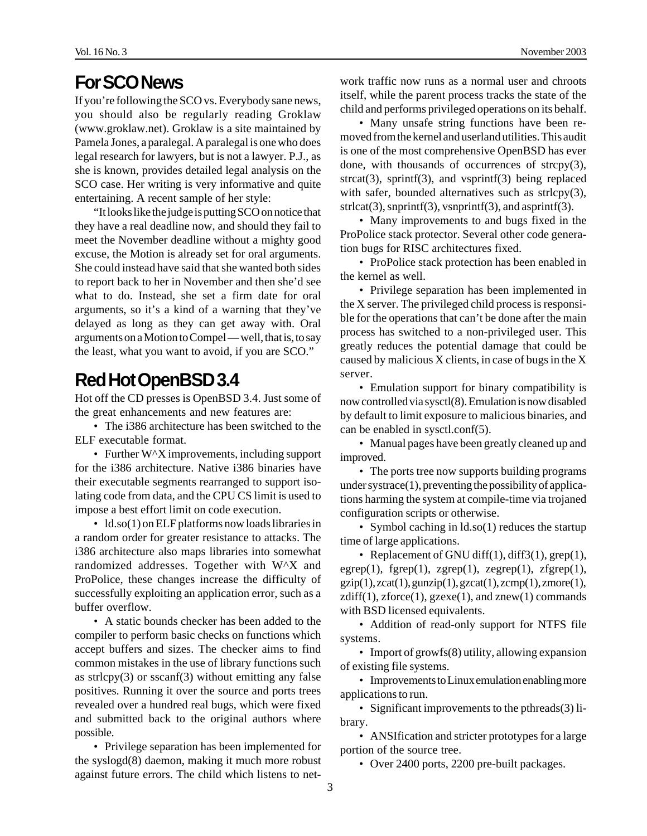### **For SCO News**

If you're following the SCO vs. Everybody sane news, you should also be regularly reading Groklaw (www.groklaw.net). Groklaw is a site maintained by Pamela Jones, a paralegal. A paralegal is one who does legal research for lawyers, but is not a lawyer. P.J., as she is known, provides detailed legal analysis on the SCO case. Her writing is very informative and quite entertaining. A recent sample of her style:

"It looks like the judge is putting SCO on notice that they have a real deadline now, and should they fail to meet the November deadline without a mighty good excuse, the Motion is already set for oral arguments. She could instead have said that she wanted both sides to report back to her in November and then she'd see what to do. Instead, she set a firm date for oral arguments, so it's a kind of a warning that they've delayed as long as they can get away with. Oral arguments on a Motion to Compel — well, that is, to say the least, what you want to avoid, if you are SCO."

## **Red Hot OpenBSD 3.4**

Hot off the CD presses is OpenBSD 3.4. Just some of the great enhancements and new features are:

• The i386 architecture has been switched to the ELF executable format.

• Further W<sup> $\lambda$ </sup> improvements, including support for the i386 architecture. Native i386 binaries have their executable segments rearranged to support isolating code from data, and the CPU CS limit is used to impose a best effort limit on code execution.

• ld.so(1) on ELF platforms now loads libraries in a random order for greater resistance to attacks. The i386 architecture also maps libraries into somewhat randomized addresses. Together with W^X and ProPolice, these changes increase the difficulty of successfully exploiting an application error, such as a buffer overflow.

• A static bounds checker has been added to the compiler to perform basic checks on functions which accept buffers and sizes. The checker aims to find common mistakes in the use of library functions such as strlcpy $(3)$  or sscanf $(3)$  without emitting any false positives. Running it over the source and ports trees revealed over a hundred real bugs, which were fixed and submitted back to the original authors where possible.

• Privilege separation has been implemented for the syslogd(8) daemon, making it much more robust against future errors. The child which listens to network traffic now runs as a normal user and chroots itself, while the parent process tracks the state of the child and performs privileged operations on its behalf.

• Many unsafe string functions have been removed from the kernel and userland utilities. This audit is one of the most comprehensive OpenBSD has ever done, with thousands of occurrences of strcpy(3),  $strcat(3)$ ,  $sprint(3)$ , and  $vsprint(3)$  being replaced with safer, bounded alternatives such as strlcpy(3),  $strlcat(3),$  snprintf(3), vsnprintf(3), and asprintf(3).

• Many improvements to and bugs fixed in the ProPolice stack protector. Several other code generation bugs for RISC architectures fixed.

• ProPolice stack protection has been enabled in the kernel as well.

• Privilege separation has been implemented in the X server. The privileged child process is responsible for the operations that can't be done after the main process has switched to a non-privileged user. This greatly reduces the potential damage that could be caused by malicious X clients, in case of bugs in the X server.

• Emulation support for binary compatibility is now controlled via sysctl(8). Emulation is now disabled by default to limit exposure to malicious binaries, and can be enabled in sysctl.conf(5).

• Manual pages have been greatly cleaned up and improved.

• The ports tree now supports building programs under systrace(1), preventing the possibility of applications harming the system at compile-time via trojaned configuration scripts or otherwise.

• Symbol caching in  $ld.$ so(1) reduces the startup time of large applications.

• Replacement of GNU diff(1), diff3(1), grep(1),  $e$ grep(1), fgrep(1), zgrep(1), zegrep(1), zfgrep(1),  $gzip(1), zcat(1), gunzip(1), gzcat(1), zcmp(1), zmore(1),$  $zdiff(1), zforce(1), gzexe(1), and znew(1) commands$ with BSD licensed equivalents.

• Addition of read-only support for NTFS file systems.

• Import of growfs(8) utility, allowing expansion of existing file systems.

• Improvements to Linux emulation enabling more applications to run.

• Significant improvements to the pthreads(3) library.

• ANSIfication and stricter prototypes for a large portion of the source tree.

• Over 2400 ports, 2200 pre-built packages.